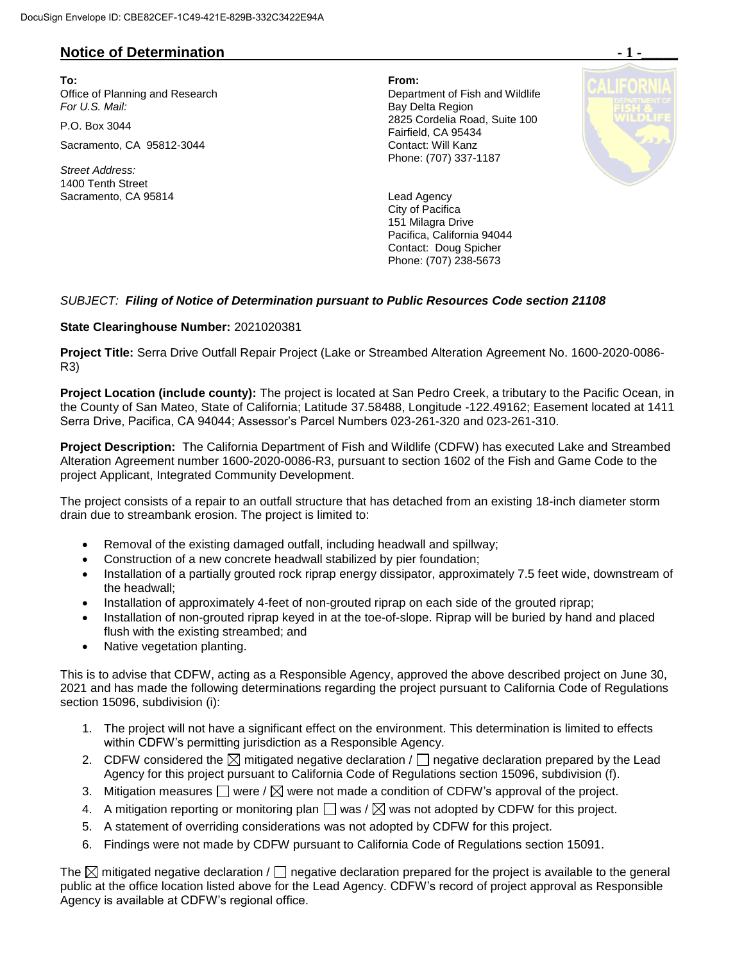## **Notice of Determination**  $\blacksquare$  **1 -**

**To: From:**  Office of Planning and Research Department of Fish and Wildlife For U.S. Mail: **Bay Delta Region** 

Sacramento, CA 95812-3044 Contact: Will Kanz

*Street Address:* 1400 Tenth Street Sacramento, CA 95814 Lead Agency

P.O. Box 3044 2825 Cordelia Road, Suite 100 Fairfield, CA 95434 Phone: (707) 337-1187



City of Pacifica 151 Milagra Drive Pacifica, California 94044 Contact: Doug Spicher Phone: (707) 238-5673

## *SUBJECT: Filing of Notice of Determination pursuant to Public Resources Code section 21108*

## **State Clearinghouse Number:** 2021020381

**Project Title:** Serra Drive Outfall Repair Project (Lake or Streambed Alteration Agreement No. 1600-2020-0086- R3)

**Project Location (include county):** The project is located at San Pedro Creek, a tributary to the Pacific Ocean, in the County of San Mateo, State of California; Latitude 37.58488, Longitude -122.49162; Easement located at 1411 Serra Drive, Pacifica, CA 94044; Assessor's Parcel Numbers 023-261-320 and 023-261-310.

**Project Description:** The California Department of Fish and Wildlife (CDFW) has executed Lake and Streambed Alteration Agreement number 1600-2020-0086-R3, pursuant to section 1602 of the Fish and Game Code to the project Applicant, Integrated Community Development.

The project consists of a repair to an outfall structure that has detached from an existing 18-inch diameter storm drain due to streambank erosion. The project is limited to:

- Removal of the existing damaged outfall, including headwall and spillway;
- Construction of a new concrete headwall stabilized by pier foundation;
- Installation of a partially grouted rock riprap energy dissipator, approximately 7.5 feet wide, downstream of the headwall;
- Installation of approximately 4-feet of non-grouted riprap on each side of the grouted riprap;
- Installation of non-grouted riprap keyed in at the toe-of-slope. Riprap will be buried by hand and placed flush with the existing streambed; and
- Native vegetation planting.

This is to advise that CDFW, acting as a Responsible Agency, approved the above described project on June 30, 2021 and has made the following determinations regarding the project pursuant to California Code of Regulations section 15096, subdivision (i):

- 1. The project will not have a significant effect on the environment. This determination is limited to effects within CDFW's permitting jurisdiction as a Responsible Agency.
- 2. CDFW considered the  $\boxtimes$  mitigated negative declaration /  $\Box$  negative declaration prepared by the Lead Agency for this project pursuant to California Code of Regulations section 15096, subdivision (f).
- 3. Mitigation measures  $\Box$  were /  $\boxtimes$  were not made a condition of CDFW's approval of the project.
- 4. A mitigation reporting or monitoring plan  $\Box$  was /  $\boxtimes$  was not adopted by CDFW for this project.
- 5. A statement of overriding considerations was not adopted by CDFW for this project.
- 6. Findings were not made by CDFW pursuant to California Code of Regulations section 15091.

The  $\boxtimes$  mitigated negative declaration /  $\Box$  negative declaration prepared for the project is available to the general public at the office location listed above for the Lead Agency. CDFW's record of project approval as Responsible Agency is available at CDFW's regional office.